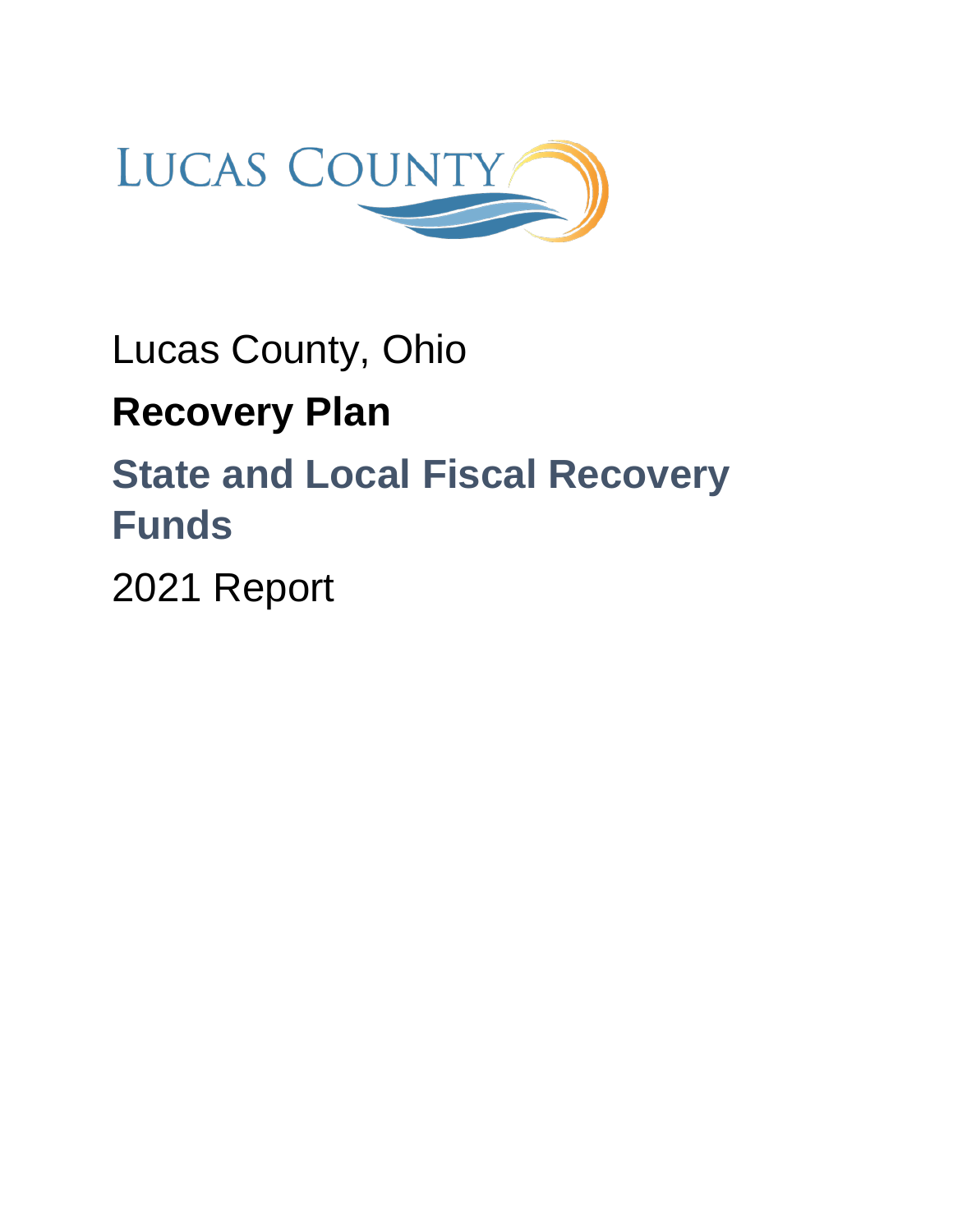

# Lucas County, Ohio **Recovery Plan State and Local Fiscal Recovery Funds**

2021 Report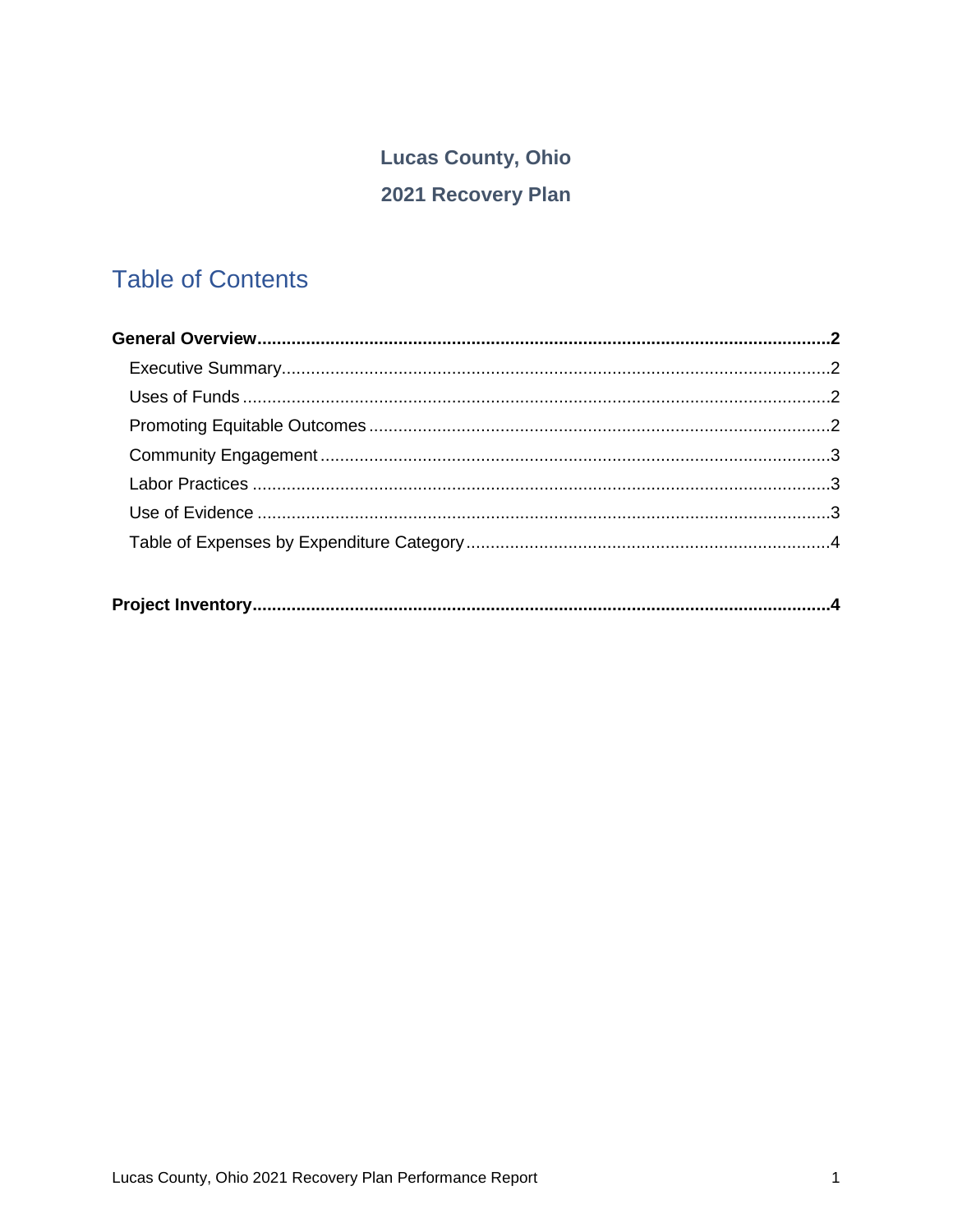# **Lucas County, Ohio** 2021 Recovery Plan

# **Table of Contents**

|--|--|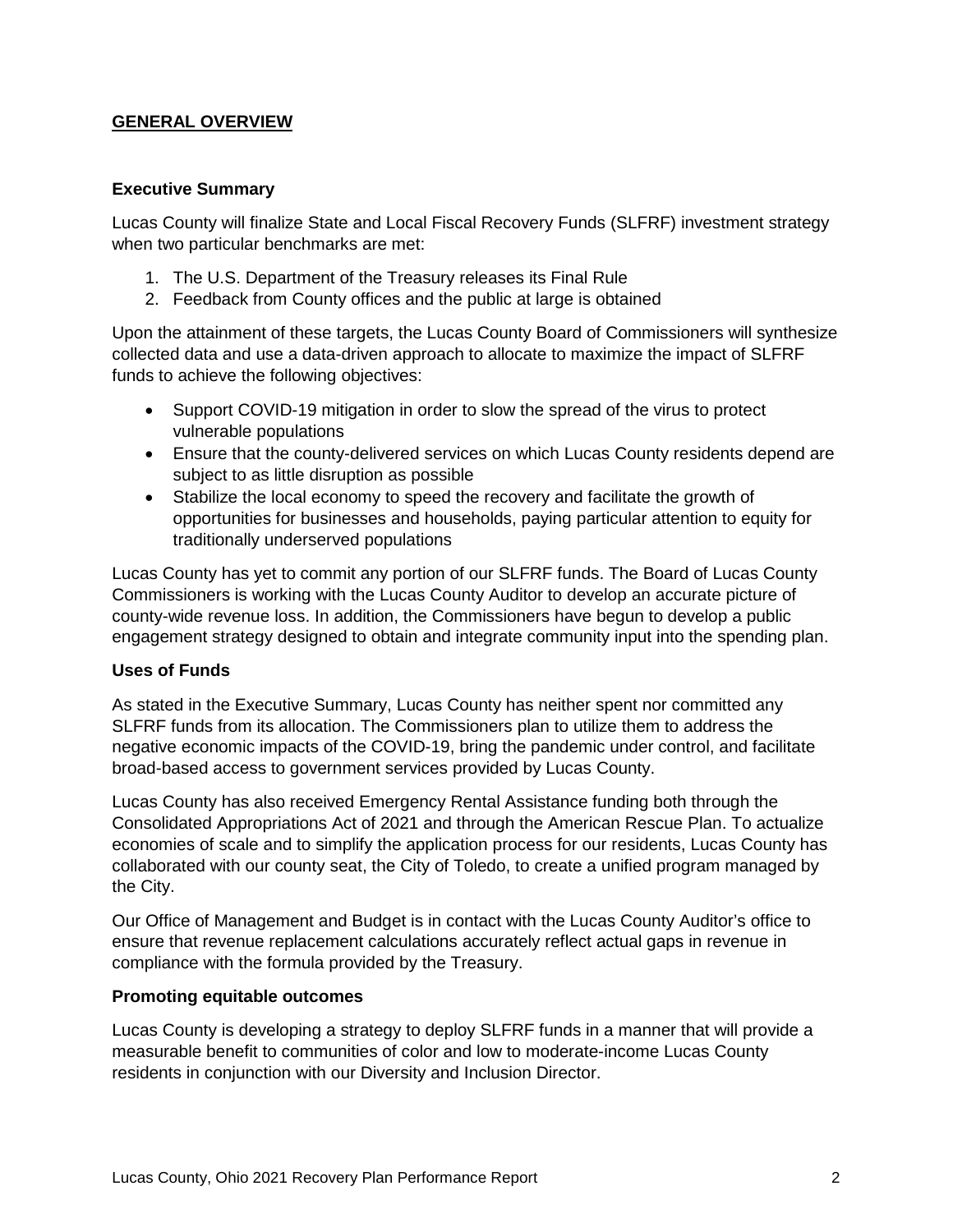## **GENERAL OVERVIEW**

#### **Executive Summary**

Lucas County will finalize State and Local Fiscal Recovery Funds (SLFRF) investment strategy when two particular benchmarks are met:

- 1. The U.S. Department of the Treasury releases its Final Rule
- 2. Feedback from County offices and the public at large is obtained

Upon the attainment of these targets, the Lucas County Board of Commissioners will synthesize collected data and use a data-driven approach to allocate to maximize the impact of SLFRF funds to achieve the following objectives:

- Support COVID-19 mitigation in order to slow the spread of the virus to protect vulnerable populations
- Ensure that the county-delivered services on which Lucas County residents depend are subject to as little disruption as possible
- Stabilize the local economy to speed the recovery and facilitate the growth of opportunities for businesses and households, paying particular attention to equity for traditionally underserved populations

Lucas County has yet to commit any portion of our SLFRF funds. The Board of Lucas County Commissioners is working with the Lucas County Auditor to develop an accurate picture of county-wide revenue loss. In addition, the Commissioners have begun to develop a public engagement strategy designed to obtain and integrate community input into the spending plan.

## **Uses of Funds**

As stated in the Executive Summary, Lucas County has neither spent nor committed any SLFRF funds from its allocation. The Commissioners plan to utilize them to address the negative economic impacts of the COVID-19, bring the pandemic under control, and facilitate broad-based access to government services provided by Lucas County.

Lucas County has also received Emergency Rental Assistance funding both through the Consolidated Appropriations Act of 2021 and through the American Rescue Plan. To actualize economies of scale and to simplify the application process for our residents, Lucas County has collaborated with our county seat, the City of Toledo, to create a unified program managed by the City.

Our Office of Management and Budget is in contact with the Lucas County Auditor's office to ensure that revenue replacement calculations accurately reflect actual gaps in revenue in compliance with the formula provided by the Treasury.

#### **Promoting equitable outcomes**

Lucas County is developing a strategy to deploy SLFRF funds in a manner that will provide a measurable benefit to communities of color and low to moderate-income Lucas County residents in conjunction with our Diversity and Inclusion Director.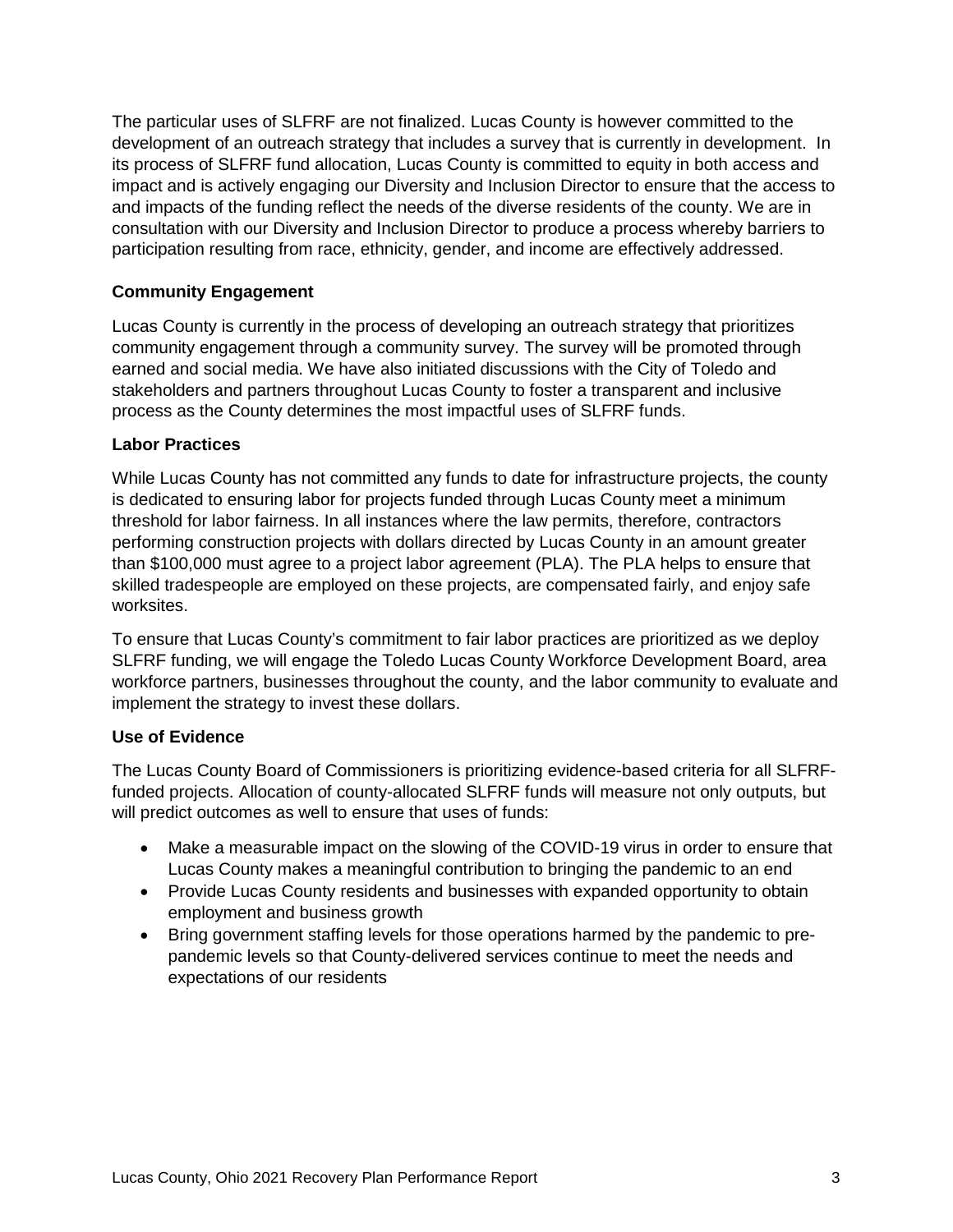The particular uses of SLFRF are not finalized. Lucas County is however committed to the development of an outreach strategy that includes a survey that is currently in development. In its process of SLFRF fund allocation, Lucas County is committed to equity in both access and impact and is actively engaging our Diversity and Inclusion Director to ensure that the access to and impacts of the funding reflect the needs of the diverse residents of the county. We are in consultation with our Diversity and Inclusion Director to produce a process whereby barriers to participation resulting from race, ethnicity, gender, and income are effectively addressed.

# **Community Engagement**

Lucas County is currently in the process of developing an outreach strategy that prioritizes community engagement through a community survey. The survey will be promoted through earned and social media. We have also initiated discussions with the City of Toledo and stakeholders and partners throughout Lucas County to foster a transparent and inclusive process as the County determines the most impactful uses of SLFRF funds.

#### **Labor Practices**

While Lucas County has not committed any funds to date for infrastructure projects, the county is dedicated to ensuring labor for projects funded through Lucas County meet a minimum threshold for labor fairness. In all instances where the law permits, therefore, contractors performing construction projects with dollars directed by Lucas County in an amount greater than \$100,000 must agree to a project labor agreement (PLA). The PLA helps to ensure that skilled tradespeople are employed on these projects, are compensated fairly, and enjoy safe worksites.

To ensure that Lucas County's commitment to fair labor practices are prioritized as we deploy SLFRF funding, we will engage the Toledo Lucas County Workforce Development Board, area workforce partners, businesses throughout the county, and the labor community to evaluate and implement the strategy to invest these dollars.

## **Use of Evidence**

The Lucas County Board of Commissioners is prioritizing evidence-based criteria for all SLFRFfunded projects. Allocation of county-allocated SLFRF funds will measure not only outputs, but will predict outcomes as well to ensure that uses of funds:

- Make a measurable impact on the slowing of the COVID-19 virus in order to ensure that Lucas County makes a meaningful contribution to bringing the pandemic to an end
- Provide Lucas County residents and businesses with expanded opportunity to obtain employment and business growth
- Bring government staffing levels for those operations harmed by the pandemic to prepandemic levels so that County-delivered services continue to meet the needs and expectations of our residents